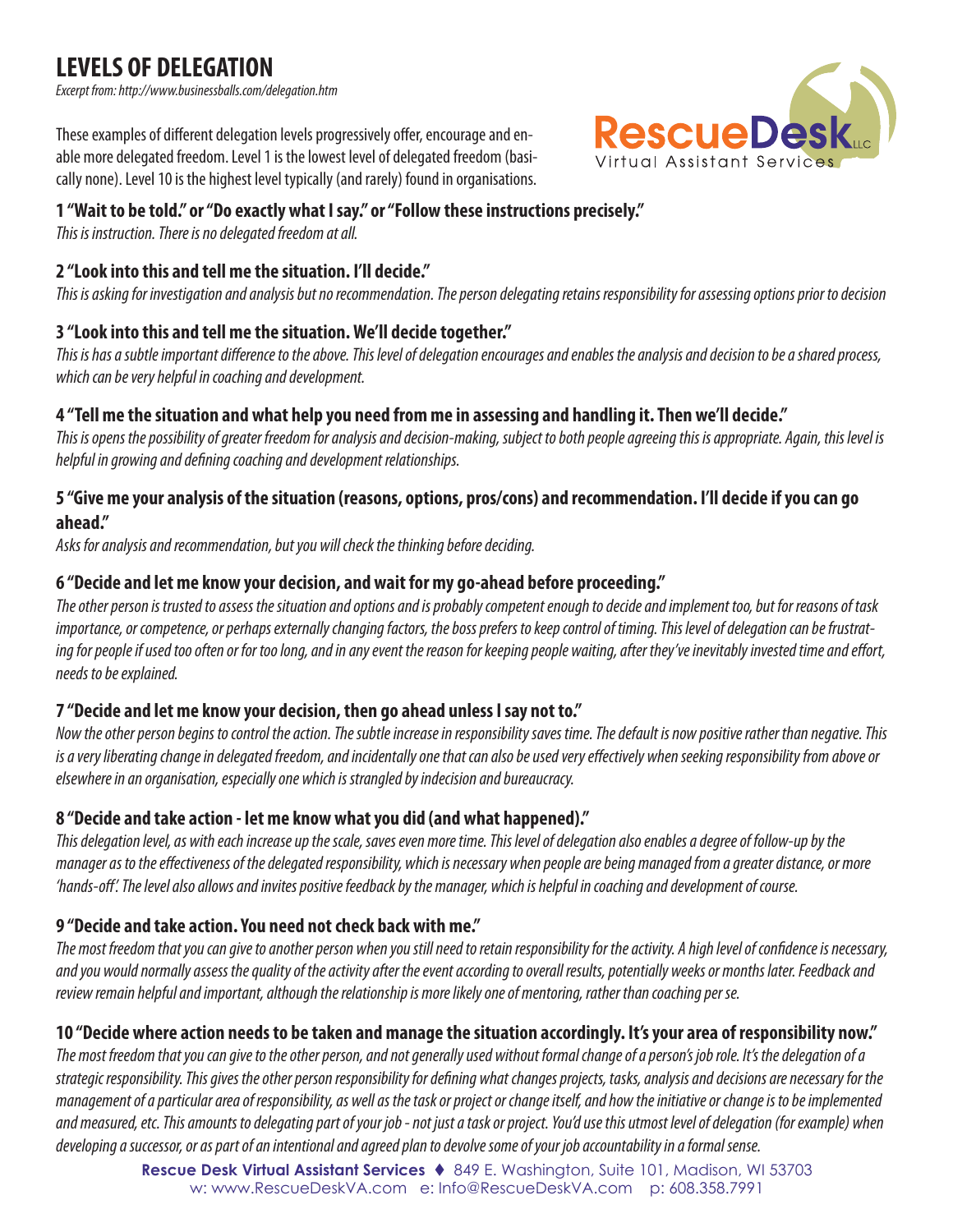# **LEVELS OF DELEGATION**

*Excerpt from: http://www.businessballs.com/delegation.htm*

These examples of different delegation levels progressively offer, encourage and enable more delegated freedom. Level 1 is the lowest level of delegated freedom (basically none). Level 10 is the highest level typically (and rarely) found in organisations.

#### **1 "Wait to be told." or "Do exactly what I say." or "Follow these instructions precisely."**

*This is instruction. There is no delegated freedom at all.*

#### **2 "Look into this and tell me the situation. I'll decide."**

*This is asking for investigation and analysis but no recommendation. The person delegating retains responsibility for assessing options prior to decision*

#### **3 "Look into this and tell me the situation. We'll decide together."**

*This is has a subtle important difference to the above. This level of delegation encourages and enables the analysis and decision to be a shared process, which can be very helpful in coaching and development.*

#### **4 "Tell me the situation and what help you need from me in assessing and handling it. Then we'll decide."**

*This is opens the possibility of greater freedom for analysis and decision-making, subject to both people agreeing this is appropriate. Again, this level is helpful in growing and defining coaching and development relationships.*

#### **5 "Give me your analysis of the situation (reasons, options, pros/cons) and recommendation. I'll decide if you can go ahead."**

*Asks for analysis and recommendation, but you will check the thinking before deciding.*

#### **6 "Decide and let me know your decision, and wait for my go-ahead before proceeding."**

*The other person is trusted to assess the situation and options and is probably competent enough to decide and implement too, but for reasons of task importance, or competence, or perhaps externally changing factors, the boss prefers to keep control of timing. This level of delegation can be frustrating for people if used too often or for too long, and in any event the reason for keeping people waiting, after they've inevitably invested time and effort, needs to be explained.*

#### **7 "Decide and let me know your decision, then go ahead unless I say not to."**

*Now the other person begins to control the action. The subtle increase in responsibility saves time. The default is now positive rather than negative. This is a very liberating change in delegated freedom, and incidentally one that can also be used very effectively when seeking responsibility from above or elsewhere in an organisation, especially one which is strangled by indecision and bureaucracy.* 

#### **8 "Decide and take action - let me know what you did (and what happened)."**

*This delegation level, as with each increase up the scale, saves even more time. This level of delegation also enables a degree of follow-up by the manager as to the effectiveness of the delegated responsibility, which is necessary when people are being managed from a greater distance, or more 'hands-off'. The level also allows and invites positive feedback by the manager, which is helpful in coaching and development of course.*

#### **9 "Decide and take action. You need not check back with me."**

*The most freedom that you can give to another person when you still need to retain responsibility for the activity. A high level of confidence is necessary, and you would normally assess the quality of the activity after the event according to overall results, potentially weeks or months later. Feedback and review remain helpful and important, although the relationship is more likely one of mentoring, rather than coaching per se.* 

## **10 "Decide where action needs to be taken and manage the situation accordingly. It's your area of responsibility now."**

The most freedom that you can give to the other person, and not generally used without formal change of a person's job role. It's the delegation of a *strategic responsibility. This gives the other person responsibility for defining what changes projects, tasks, analysis and decisions are necessary for the management of a particular area of responsibility, as well as the task or project or change itself, and how the initiative or change is to be implemented and measured, etc. This amounts to delegating part of your job - not just a task or project. You'd use this utmost level of delegation (for example) when developing a successor, or as part of an intentional and agreed plan to devolve some of your job accountability in a formal sense.*